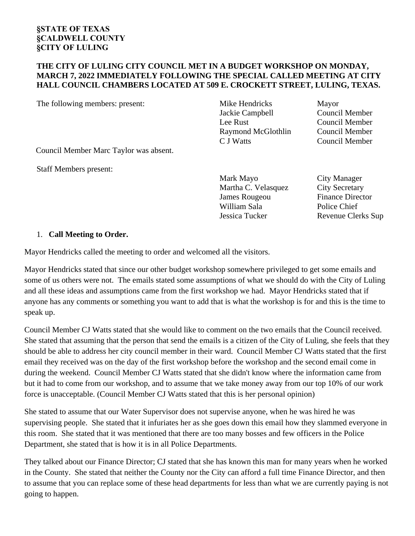## **THE CITY OF LULING CITY COUNCIL MET IN A BUDGET WORKSHOP ON MONDAY, MARCH 7, 2022 IMMEDIATELY FOLLOWING THE SPECIAL CALLED MEETING AT CITY HALL COUNCIL CHAMBERS LOCATED AT 509 E. CROCKETT STREET, LULING, TEXAS.**

The following members: present: Mike Hendricks Mayor

Jackie Campbell Council Member Lee Rust Council Member Raymond McGlothlin Council Member C J Watts Council Member

Council Member Marc Taylor was absent.

Staff Members present:

Mark Mayo City Manager Martha C. Velasquez City Secretary James Rougeou Finance Director William Sala Police Chief

Jessica Tucker Revenue Clerks Sup

## 1. **Call Meeting to Order.**

Mayor Hendricks called the meeting to order and welcomed all the visitors.

Mayor Hendricks stated that since our other budget workshop somewhere privileged to get some emails and some of us others were not. The emails stated some assumptions of what we should do with the City of Luling and all these ideas and assumptions came from the first workshop we had. Mayor Hendricks stated that if anyone has any comments or something you want to add that is what the workshop is for and this is the time to speak up.

Council Member CJ Watts stated that she would like to comment on the two emails that the Council received. She stated that assuming that the person that send the emails is a citizen of the City of Luling, she feels that they should be able to address her city council member in their ward. Council Member CJ Watts stated that the first email they received was on the day of the first workshop before the workshop and the second email come in during the weekend. Council Member CJ Watts stated that she didn't know where the information came from but it had to come from our workshop, and to assume that we take money away from our top 10% of our work force is unacceptable. (Council Member CJ Watts stated that this is her personal opinion)

She stated to assume that our Water Supervisor does not supervise anyone, when he was hired he was supervising people. She stated that it infuriates her as she goes down this email how they slammed everyone in this room. She stated that it was mentioned that there are too many bosses and few officers in the Police Department, she stated that is how it is in all Police Departments.

They talked about our Finance Director; CJ stated that she has known this man for many years when he worked in the County. She stated that neither the County nor the City can afford a full time Finance Director, and then to assume that you can replace some of these head departments for less than what we are currently paying is not going to happen.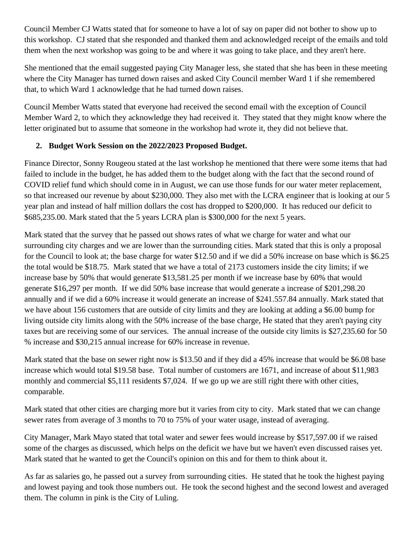Council Member CJ Watts stated that for someone to have a lot of say on paper did not bother to show up to this workshop. CJ stated that she responded and thanked them and acknowledged receipt of the emails and told them when the next workshop was going to be and where it was going to take place, and they aren't here.

She mentioned that the email suggested paying City Manager less, she stated that she has been in these meeting where the City Manager has turned down raises and asked City Council member Ward 1 if she remembered that, to which Ward 1 acknowledge that he had turned down raises.

Council Member Watts stated that everyone had received the second email with the exception of Council Member Ward 2, to which they acknowledge they had received it. They stated that they might know where the letter originated but to assume that someone in the workshop had wrote it, they did not believe that.

## **2. Budget Work Session on the 2022/2023 Proposed Budget.**

Finance Director, Sonny Rougeou stated at the last workshop he mentioned that there were some items that had failed to include in the budget, he has added them to the budget along with the fact that the second round of COVID relief fund which should come in in August, we can use those funds for our water meter replacement, so that increased our revenue by about \$230,000. They also met with the LCRA engineer that is looking at our 5 year plan and instead of half million dollars the cost has dropped to \$200,000. It has reduced our deficit to \$685,235.00. Mark stated that the 5 years LCRA plan is \$300,000 for the next 5 years.

Mark stated that the survey that he passed out shows rates of what we charge for water and what our surrounding city charges and we are lower than the surrounding cities. Mark stated that this is only a proposal for the Council to look at; the base charge for water \$12.50 and if we did a 50% increase on base which is \$6.25 the total would be \$18.75. Mark stated that we have a total of 2173 customers inside the city limits; if we increase base by 50% that would generate \$13,581.25 per month if we increase base by 60% that would generate \$16,297 per month. If we did 50% base increase that would generate a increase of \$201,298.20 annually and if we did a 60% increase it would generate an increase of \$241.557.84 annually. Mark stated that we have about 156 customers that are outside of city limits and they are looking at adding a \$6.00 bump for living outside city limits along with the 50% increase of the base charge, He stated that they aren't paying city taxes but are receiving some of our services. The annual increase of the outside city limits is \$27,235.60 for 50 % increase and \$30,215 annual increase for 60% increase in revenue.

Mark stated that the base on sewer right now is \$13.50 and if they did a 45% increase that would be \$6.08 base increase which would total \$19.58 base. Total number of customers are 1671, and increase of about \$11,983 monthly and commercial \$5,111 residents \$7,024. If we go up we are still right there with other cities, comparable.

Mark stated that other cities are charging more but it varies from city to city. Mark stated that we can change sewer rates from average of 3 months to 70 to 75% of your water usage, instead of averaging.

City Manager, Mark Mayo stated that total water and sewer fees would increase by \$517,597.00 if we raised some of the charges as discussed, which helps on the deficit we have but we haven't even discussed raises yet. Mark stated that he wanted to get the Council's opinion on this and for them to think about it.

As far as salaries go, he passed out a survey from surrounding cities. He stated that he took the highest paying and lowest paying and took those numbers out. He took the second highest and the second lowest and averaged them. The column in pink is the City of Luling.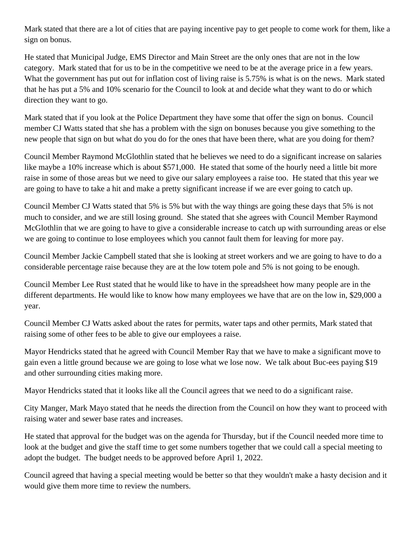Mark stated that there are a lot of cities that are paying incentive pay to get people to come work for them, like a sign on bonus.

He stated that Municipal Judge, EMS Director and Main Street are the only ones that are not in the low category. Mark stated that for us to be in the competitive we need to be at the average price in a few years. What the government has put out for inflation cost of living raise is 5.75% is what is on the news. Mark stated that he has put a 5% and 10% scenario for the Council to look at and decide what they want to do or which direction they want to go.

Mark stated that if you look at the Police Department they have some that offer the sign on bonus. Council member CJ Watts stated that she has a problem with the sign on bonuses because you give something to the new people that sign on but what do you do for the ones that have been there, what are you doing for them?

Council Member Raymond McGlothlin stated that he believes we need to do a significant increase on salaries like maybe a 10% increase which is about \$571,000. He stated that some of the hourly need a little bit more raise in some of those areas but we need to give our salary employees a raise too. He stated that this year we are going to have to take a hit and make a pretty significant increase if we are ever going to catch up.

Council Member CJ Watts stated that 5% is 5% but with the way things are going these days that 5% is not much to consider, and we are still losing ground. She stated that she agrees with Council Member Raymond McGlothlin that we are going to have to give a considerable increase to catch up with surrounding areas or else we are going to continue to lose employees which you cannot fault them for leaving for more pay.

Council Member Jackie Campbell stated that she is looking at street workers and we are going to have to do a considerable percentage raise because they are at the low totem pole and 5% is not going to be enough.

Council Member Lee Rust stated that he would like to have in the spreadsheet how many people are in the different departments. He would like to know how many employees we have that are on the low in, \$29,000 a year.

Council Member CJ Watts asked about the rates for permits, water taps and other permits, Mark stated that raising some of other fees to be able to give our employees a raise.

Mayor Hendricks stated that he agreed with Council Member Ray that we have to make a significant move to gain even a little ground because we are going to lose what we lose now. We talk about Buc-ees paying \$19 and other surrounding cities making more.

Mayor Hendricks stated that it looks like all the Council agrees that we need to do a significant raise.

City Manger, Mark Mayo stated that he needs the direction from the Council on how they want to proceed with raising water and sewer base rates and increases.

He stated that approval for the budget was on the agenda for Thursday, but if the Council needed more time to look at the budget and give the staff time to get some numbers together that we could call a special meeting to adopt the budget. The budget needs to be approved before April 1, 2022.

Council agreed that having a special meeting would be better so that they wouldn't make a hasty decision and it would give them more time to review the numbers.